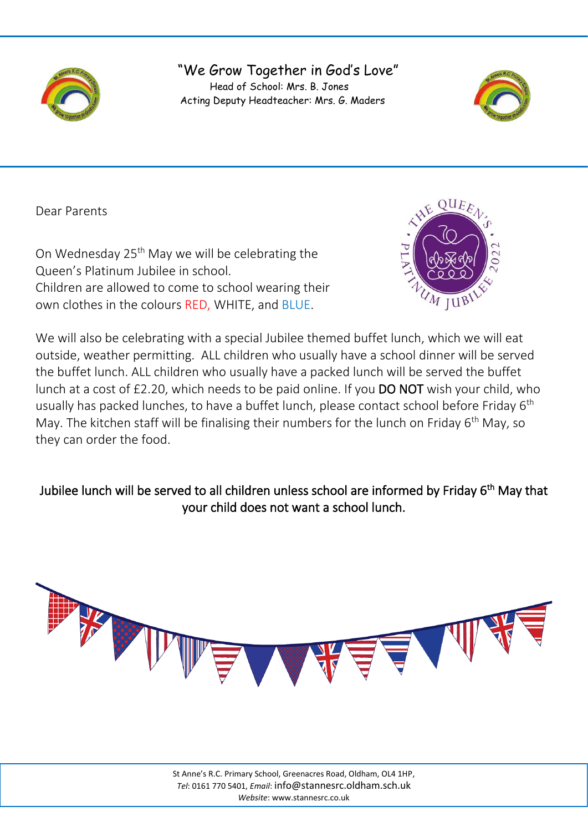

## "We Grow Together in God's Love" Head of School: Mrs. B. Jones Acting Deputy Headteacher: Mrs. G. Maders



Dear Parents

On Wednesday 25<sup>th</sup> May we will be celebrating the Queen's Platinum Jubilee in school. Children are allowed to come to school wearing their own clothes in the colours RED, WHITE, and BLUE.

j



We will also be celebrating with a special Jubilee themed buffet lunch, which we will eat outside, weather permitting. ALL children who usually have a school dinner will be served the buffet lunch. ALL children who usually have a packed lunch will be served the buffet lunch at a cost of £2.20, which needs to be paid online. If you DO NOT wish your child, who usually has packed lunches, to have a buffet lunch, please contact school before Friday 6<sup>th</sup> May. The kitchen staff will be finalising their numbers for the lunch on Friday 6<sup>th</sup> May, so they can order the food.

## Jubilee lunch will be served to all children unless school are informed by Friday 6<sup>th</sup> May that your child does not want a school lunch.